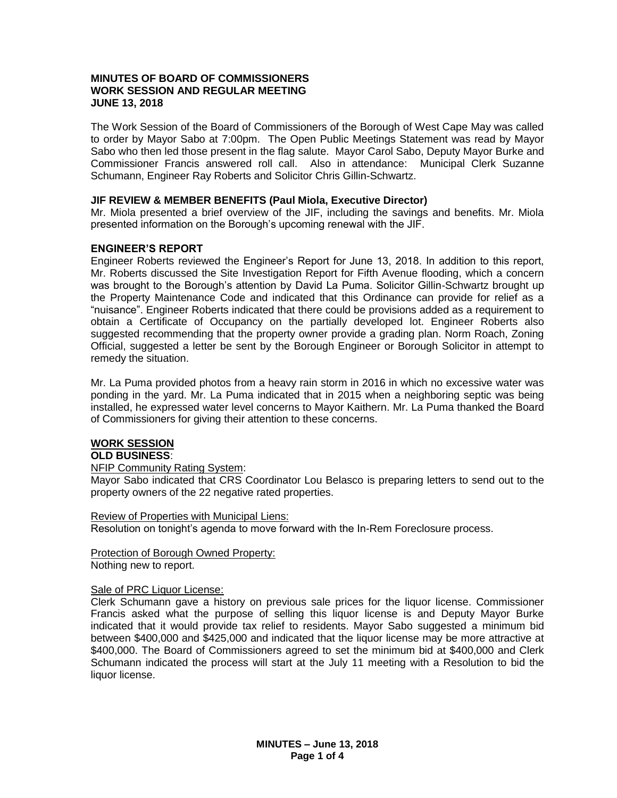#### **MINUTES OF BOARD OF COMMISSIONERS WORK SESSION AND REGULAR MEETING JUNE 13, 2018**

The Work Session of the Board of Commissioners of the Borough of West Cape May was called to order by Mayor Sabo at 7:00pm. The Open Public Meetings Statement was read by Mayor Sabo who then led those present in the flag salute. Mayor Carol Sabo, Deputy Mayor Burke and Commissioner Francis answered roll call. Also in attendance: Municipal Clerk Suzanne Schumann, Engineer Ray Roberts and Solicitor Chris Gillin-Schwartz.

#### **JIF REVIEW & MEMBER BENEFITS (Paul Miola, Executive Director)**

Mr. Miola presented a brief overview of the JIF, including the savings and benefits. Mr. Miola presented information on the Borough's upcoming renewal with the JIF.

## **ENGINEER'S REPORT**

Engineer Roberts reviewed the Engineer's Report for June 13, 2018. In addition to this report, Mr. Roberts discussed the Site Investigation Report for Fifth Avenue flooding, which a concern was brought to the Borough's attention by David La Puma. Solicitor Gillin-Schwartz brought up the Property Maintenance Code and indicated that this Ordinance can provide for relief as a "nuisance". Engineer Roberts indicated that there could be provisions added as a requirement to obtain a Certificate of Occupancy on the partially developed lot. Engineer Roberts also suggested recommending that the property owner provide a grading plan. Norm Roach, Zoning Official, suggested a letter be sent by the Borough Engineer or Borough Solicitor in attempt to remedy the situation.

Mr. La Puma provided photos from a heavy rain storm in 2016 in which no excessive water was ponding in the yard. Mr. La Puma indicated that in 2015 when a neighboring septic was being installed, he expressed water level concerns to Mayor Kaithern. Mr. La Puma thanked the Board of Commissioners for giving their attention to these concerns.

## **WORK SESSION**

#### **OLD BUSINESS**:

#### NFIP Community Rating System:

Mayor Sabo indicated that CRS Coordinator Lou Belasco is preparing letters to send out to the property owners of the 22 negative rated properties.

Review of Properties with Municipal Liens:

Resolution on tonight's agenda to move forward with the In-Rem Foreclosure process.

Protection of Borough Owned Property: Nothing new to report.

## Sale of PRC Liquor License:

Clerk Schumann gave a history on previous sale prices for the liquor license. Commissioner Francis asked what the purpose of selling this liquor license is and Deputy Mayor Burke indicated that it would provide tax relief to residents. Mayor Sabo suggested a minimum bid between \$400,000 and \$425,000 and indicated that the liquor license may be more attractive at \$400,000. The Board of Commissioners agreed to set the minimum bid at \$400,000 and Clerk Schumann indicated the process will start at the July 11 meeting with a Resolution to bid the liquor license.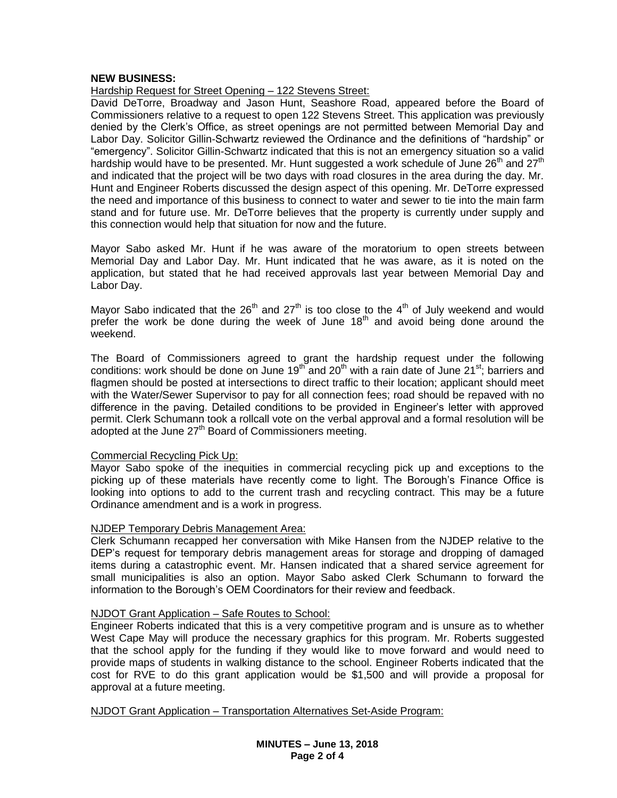#### **NEW BUSINESS:**

Hardship Request for Street Opening – 122 Stevens Street:

David DeTorre, Broadway and Jason Hunt, Seashore Road, appeared before the Board of Commissioners relative to a request to open 122 Stevens Street. This application was previously denied by the Clerk's Office, as street openings are not permitted between Memorial Day and Labor Day. Solicitor Gillin-Schwartz reviewed the Ordinance and the definitions of "hardship" or "emergency". Solicitor Gillin-Schwartz indicated that this is not an emergency situation so a valid hardship would have to be presented. Mr. Hunt suggested a work schedule of June 26<sup>th</sup> and 27<sup>th</sup> and indicated that the project will be two days with road closures in the area during the day. Mr. Hunt and Engineer Roberts discussed the design aspect of this opening. Mr. DeTorre expressed the need and importance of this business to connect to water and sewer to tie into the main farm stand and for future use. Mr. DeTorre believes that the property is currently under supply and this connection would help that situation for now and the future.

Mayor Sabo asked Mr. Hunt if he was aware of the moratorium to open streets between Memorial Day and Labor Day. Mr. Hunt indicated that he was aware, as it is noted on the application, but stated that he had received approvals last year between Memorial Day and Labor Day.

Mayor Sabo indicated that the 26<sup>th</sup> and 27<sup>th</sup> is too close to the 4<sup>th</sup> of July weekend and would prefer the work be done during the week of June 18<sup>th</sup> and avoid being done around the weekend.

The Board of Commissioners agreed to grant the hardship request under the following conditions: work should be done on June 19<sup>th</sup> and 20<sup>th</sup> with a rain date of June 21<sup>st</sup>; barriers and flagmen should be posted at intersections to direct traffic to their location; applicant should meet with the Water/Sewer Supervisor to pay for all connection fees; road should be repaved with no difference in the paving. Detailed conditions to be provided in Engineer's letter with approved permit. Clerk Schumann took a rollcall vote on the verbal approval and a formal resolution will be adopted at the June  $27<sup>th</sup>$  Board of Commissioners meeting.

#### Commercial Recycling Pick Up:

Mayor Sabo spoke of the inequities in commercial recycling pick up and exceptions to the picking up of these materials have recently come to light. The Borough's Finance Office is looking into options to add to the current trash and recycling contract. This may be a future Ordinance amendment and is a work in progress.

## NJDEP Temporary Debris Management Area:

Clerk Schumann recapped her conversation with Mike Hansen from the NJDEP relative to the DEP's request for temporary debris management areas for storage and dropping of damaged items during a catastrophic event. Mr. Hansen indicated that a shared service agreement for small municipalities is also an option. Mayor Sabo asked Clerk Schumann to forward the information to the Borough's OEM Coordinators for their review and feedback.

## NJDOT Grant Application – Safe Routes to School:

Engineer Roberts indicated that this is a very competitive program and is unsure as to whether West Cape May will produce the necessary graphics for this program. Mr. Roberts suggested that the school apply for the funding if they would like to move forward and would need to provide maps of students in walking distance to the school. Engineer Roberts indicated that the cost for RVE to do this grant application would be \$1,500 and will provide a proposal for approval at a future meeting.

NJDOT Grant Application – Transportation Alternatives Set-Aside Program: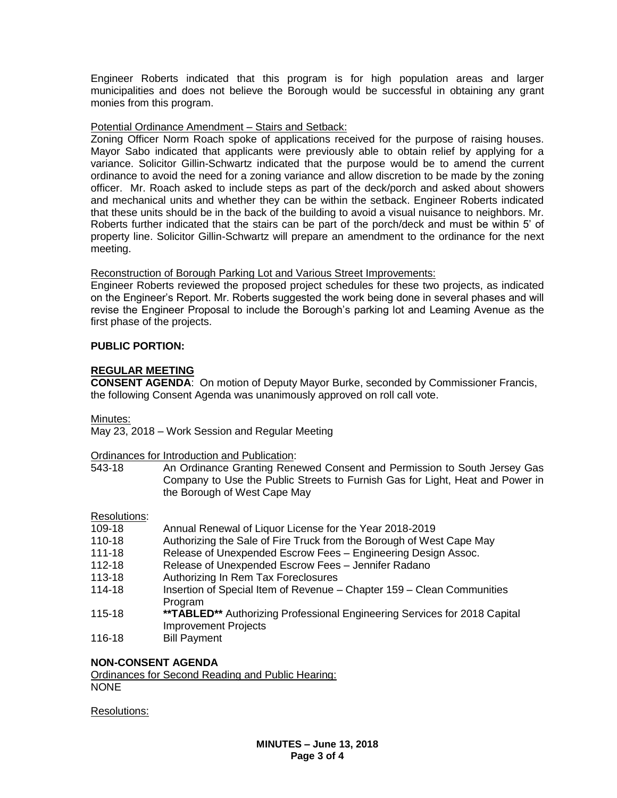Engineer Roberts indicated that this program is for high population areas and larger municipalities and does not believe the Borough would be successful in obtaining any grant monies from this program.

# Potential Ordinance Amendment – Stairs and Setback:

Zoning Officer Norm Roach spoke of applications received for the purpose of raising houses. Mayor Sabo indicated that applicants were previously able to obtain relief by applying for a variance. Solicitor Gillin-Schwartz indicated that the purpose would be to amend the current ordinance to avoid the need for a zoning variance and allow discretion to be made by the zoning officer. Mr. Roach asked to include steps as part of the deck/porch and asked about showers and mechanical units and whether they can be within the setback. Engineer Roberts indicated that these units should be in the back of the building to avoid a visual nuisance to neighbors. Mr. Roberts further indicated that the stairs can be part of the porch/deck and must be within 5' of property line. Solicitor Gillin-Schwartz will prepare an amendment to the ordinance for the next meeting.

## Reconstruction of Borough Parking Lot and Various Street Improvements:

Engineer Roberts reviewed the proposed project schedules for these two projects, as indicated on the Engineer's Report. Mr. Roberts suggested the work being done in several phases and will revise the Engineer Proposal to include the Borough's parking lot and Leaming Avenue as the first phase of the projects.

# **PUBLIC PORTION:**

# **REGULAR MEETING**

**CONSENT AGENDA**: On motion of Deputy Mayor Burke, seconded by Commissioner Francis, the following Consent Agenda was unanimously approved on roll call vote.

Minutes:

May 23, 2018 – Work Session and Regular Meeting

Ordinances for Introduction and Publication:

543-18 An Ordinance Granting Renewed Consent and Permission to South Jersey Gas Company to Use the Public Streets to Furnish Gas for Light, Heat and Power in the Borough of West Cape May

## Resolutions:

- 109-18 Annual Renewal of Liquor License for the Year 2018-2019
- 110-18 Authorizing the Sale of Fire Truck from the Borough of West Cape May
- 111-18 Release of Unexpended Escrow Fees Engineering Design Assoc.
- 112-18 Release of Unexpended Escrow Fees Jennifer Radano
- 113-18 Authorizing In Rem Tax Foreclosures
- 114-18 Insertion of Special Item of Revenue Chapter 159 Clean Communities Program
- 115-18 **\*\*TABLED\*\*** Authorizing Professional Engineering Services for 2018 Capital Improvement Projects
- 116-18 Bill Payment

## **NON-CONSENT AGENDA**

Ordinances for Second Reading and Public Hearing: NONE

Resolutions: